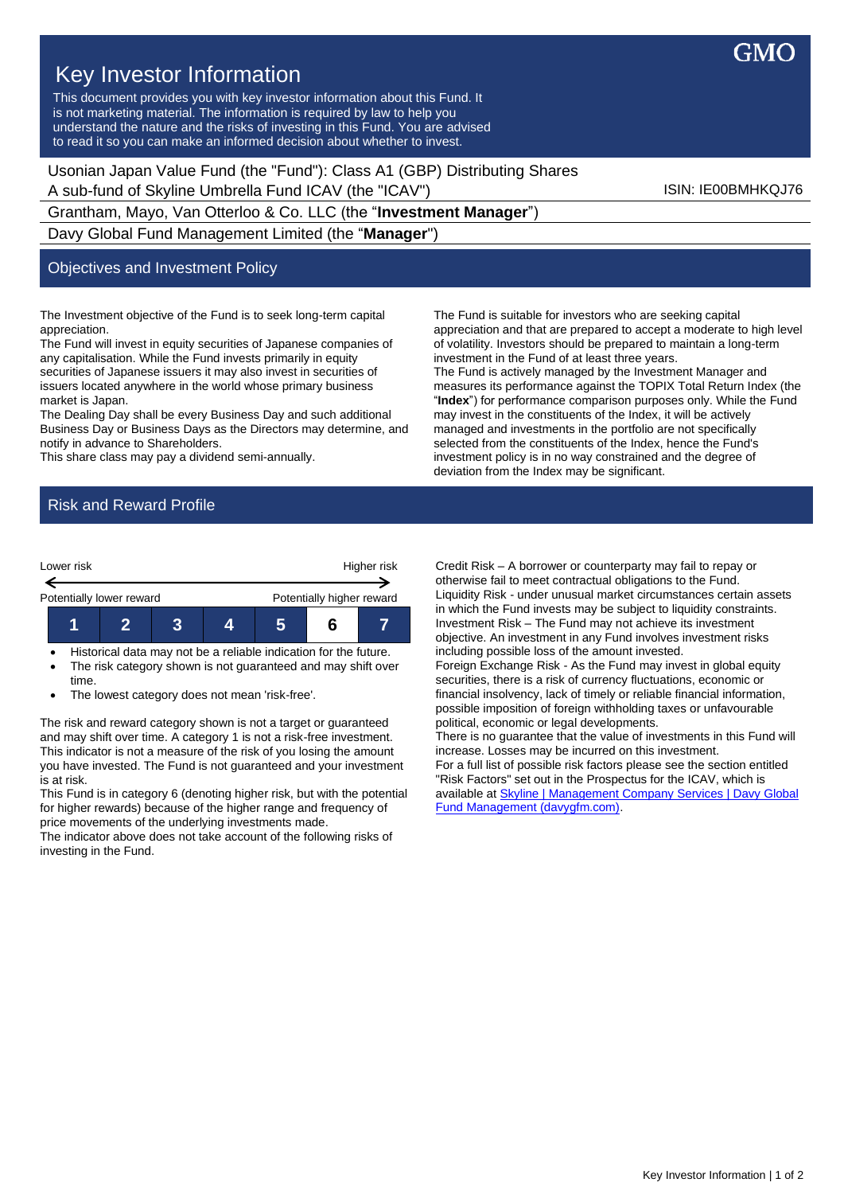

## Key Investor Information

This document provides you with key investor information about this Fund. It is not marketing material. The information is required by law to help you understand the nature and the risks of investing in this Fund. You are advised to read it so you can make an informed decision about whether to invest.

Usonian Japan Value Fund (the "Fund"): Class A1 (GBP) Distributing Shares A sub-fund of Skyline Umbrella Fund ICAV (the "ICAV") Sub-fund iSIN: IE00BMHKQJ76

Grantham, Mayo, Van Otterloo & Co. LLC (the "**Investment Manager**") Davy Global Fund Management Limited (the "**Manager**")

## Objectives and Investment Policy

The Investment objective of the Fund is to seek long-term capital appreciation.

The Fund will invest in equity securities of Japanese companies of any capitalisation. While the Fund invests primarily in equity securities of Japanese issuers it may also invest in securities of issuers located anywhere in the world whose primary business market is Japan.

The Dealing Day shall be every Business Day and such additional Business Day or Business Days as the Directors may determine, and notify in advance to Shareholders.

This share class may pay a dividend semi-annually.

The Fund is suitable for investors who are seeking capital appreciation and that are prepared to accept a moderate to high level of volatility. Investors should be prepared to maintain a long-term investment in the Fund of at least three years. The Fund is actively managed by the Investment Manager and measures its performance against the TOPIX Total Return Index (the "**Index**") for performance comparison purposes only. While the Fund may invest in the constituents of the Index, it will be actively managed and investments in the portfolio are not specifically selected from the constituents of the Index, hence the Fund's investment policy is in no way constrained and the degree of deviation from the Index may be significant.

## Risk and Reward Profile



• Historical data may not be a reliable indication for the future. • The risk category shown is not guaranteed and may shift over time.

• The lowest category does not mean 'risk-free'.

The risk and reward category shown is not a target or guaranteed and may shift over time. A category 1 is not a risk-free investment. This indicator is not a measure of the risk of you losing the amount you have invested. The Fund is not guaranteed and your investment is at risk.

This Fund is in category 6 (denoting higher risk, but with the potential for higher rewards) because of the higher range and frequency of price movements of the underlying investments made.

The indicator above does not take account of the following risks of investing in the Fund.

Credit Risk – A borrower or counterparty may fail to repay or otherwise fail to meet contractual obligations to the Fund. Liquidity Risk - under unusual market circumstances certain assets in which the Fund invests may be subject to liquidity constraints. Investment Risk – The Fund may not achieve its investment objective. An investment in any Fund involves investment risks including possible loss of the amount invested.

Foreign Exchange Risk - As the Fund may invest in global equity securities, there is a risk of currency fluctuations, economic or financial insolvency, lack of timely or reliable financial information, possible imposition of foreign withholding taxes or unfavourable political, economic or legal developments.

There is no guarantee that the value of investments in this Fund will increase. Losses may be incurred on this investment. For a full list of possible risk factors please see the section entitled "Risk Factors" set out in the Prospectus for the ICAV, which is available a[t Skyline | Management Company Services | Davy Global](https://www.davygfm.com/funds-factsheets/management-company-services/ireland/skyline.html)  [Fund Management \(davygfm.com\).](https://www.davygfm.com/funds-factsheets/management-company-services/ireland/skyline.html)